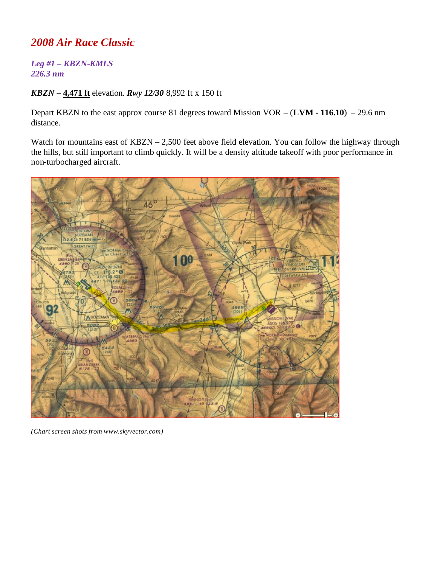## *2008 Air Race Classic*

## *Leg #1 – KBZN-KMLS 226.3 nm*

## *KBZN* – **4,471 ft** elevation. *Rwy 12/30* 8,992 ft x 150 ft

Depart KBZN to the east approx course 81 degrees toward Mission VOR – (**LVM - 116.10**) – 29.6 nm distance.

Watch for mountains east of KBZN – 2,500 feet above field elevation. You can follow the highway through the hills, but still important to climb quickly. It will be a density altitude takeoff with poor performance in non-turbocharged aircraft.



*(Chart screen shots from www.skyvector.com)*